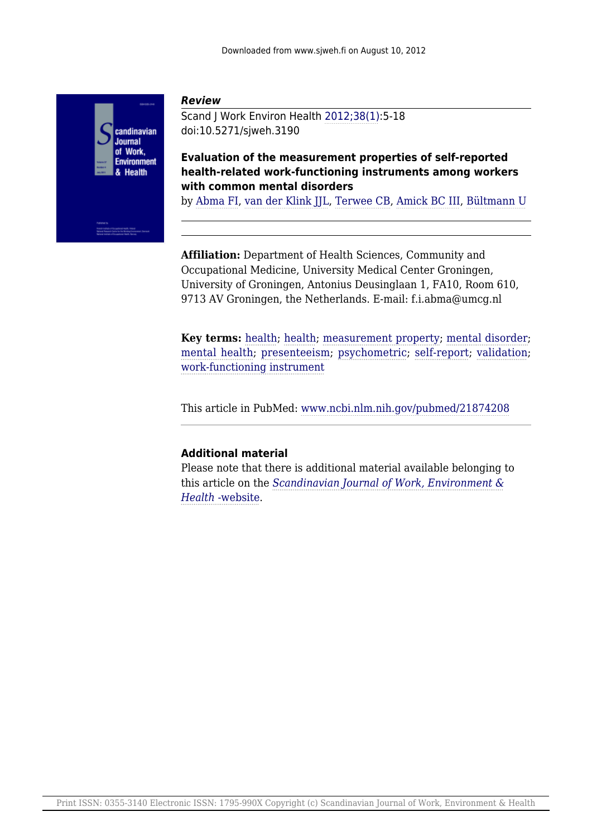

# *Review*

Scand J Work Environ Health [2012;38\(1\):](D:/www/www.sjweh.fi/show_issue.php?issue_id=291)5-18 doi:10.5271/sjweh.3190

# **Evaluation of the measurement properties of self-reported health-related work-functioning instruments among workers with common mental disorders**

by [Abma FI,](D:/www/www.sjweh.fi/show_abstract.php?author_id=6517) [van der Klink JJL](D:/www/www.sjweh.fi/show_abstract.php?author_id=2019), [Terwee CB,](D:/www/www.sjweh.fi/show_abstract.php?author_id=6518) [Amick BC III](D:/www/www.sjweh.fi/show_abstract.php?author_id=832), [Bültmann U](D:/www/www.sjweh.fi/show_abstract.php?author_id=6520)

**Affiliation:** Department of Health Sciences, Community and Occupational Medicine, University Medical Center Groningen, University of Groningen, Antonius Deusinglaan 1, FA10, Room 610, 9713 AV Groningen, the Netherlands. E-mail: f.i.abma@umcg.nl

**Key terms:** [health;](D:/www/www.sjweh.fi/show_abstract.php?keyword_id=652) [health;](D:/www/www.sjweh.fi/show_abstract.php?keyword_id=4617) [measurement property](D:/www/www.sjweh.fi/show_abstract.php?keyword_id=7224); [mental disorder;](D:/www/www.sjweh.fi/show_abstract.php?keyword_id=2827) [mental health;](D:/www/www.sjweh.fi/show_abstract.php?keyword_id=436) [presenteeism](D:/www/www.sjweh.fi/show_abstract.php?keyword_id=2842); [psychometric](D:/www/www.sjweh.fi/show_abstract.php?keyword_id=7226); [self-report;](D:/www/www.sjweh.fi/show_abstract.php?keyword_id=2926) [validation;](D:/www/www.sjweh.fi/show_abstract.php?keyword_id=4162) [work-functioning instrument](D:/www/www.sjweh.fi/show_abstract.php?keyword_id=7228)

This article in PubMed: [www.ncbi.nlm.nih.gov/pubmed/21874208](http://www.ncbi.nlm.nih.gov/pubmed/21874208)

# **Additional material**

Please note that there is additional material available belonging to this article on the *[Scandinavian Journal of Work, Environment &](http://www.sjweh.fi/data_repository.php) [Health](http://www.sjweh.fi/data_repository.php)* [-website](http://www.sjweh.fi/data_repository.php).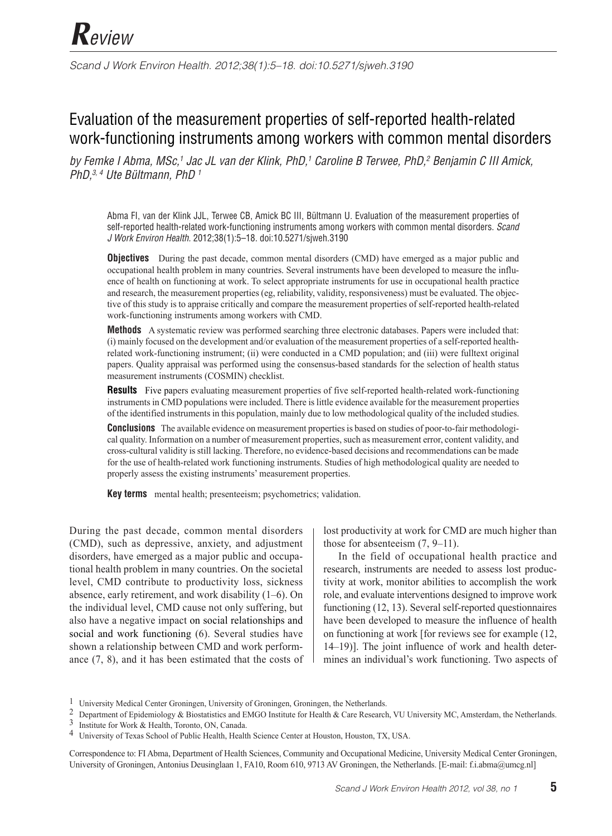# Evaluation of the measurement properties of self-reported health-related work-functioning instruments among workers with common mental disorders

*by Femke I Abma, MSc,1 Jac JL van der Klink, PhD,1 Caroline B Terwee, PhD,2 Benjamin C III Amick, PhD,3, 4 Ute Bültmann, PhD 1*

Abma FI, van der Klink JJL, Terwee CB, Amick BC III, Bültmann U. Evaluation of the measurement properties of self-reported health-related work-functioning instruments among workers with common mental disorders. *Scand J Work Environ Health.* 2012;38(1):5–18. doi:10.5271/sjweh.3190

**Objectives** During the past decade, common mental disorders (CMD) have emerged as a major public and occupational health problem in many countries. Several instruments have been developed to measure the influence of health on functioning at work. To select appropriate instruments for use in occupational health practice and research, the measurement properties (eg, reliability, validity, responsiveness) must be evaluated. The objective of this study is to appraise critically and compare the measurement properties of self-reported health-related work-functioning instruments among workers with CMD.

**Methods** A systematic review was performed searching three electronic databases. Papers were included that: (i) mainly focused on the development and/or evaluation of the measurement properties of a self-reported healthrelated work-functioning instrument; (ii) were conducted in a CMD population; and (iii) were fulltext original papers. Quality appraisal was performed using the consensus-based standards for the selection of health status measurement instruments (COSMIN) checklist.

**Results** Five papers evaluating measurement properties of five self-reported health-related work-functioning instruments in CMD populations were included. There is little evidence available for the measurement properties of the identified instruments in this population, mainly due to low methodological quality of the included studies.

**Conclusions** The available evidence on measurement properties is based on studies of poor-to-fair methodological quality. Information on a number of measurement properties, such as measurement error, content validity, and cross-cultural validity is still lacking. Therefore, no evidence-based decisions and recommendations can be made for the use of health-related work functioning instruments. Studies of high methodological quality are needed to properly assess the existing instruments' measurement properties.

**Key terms** mental health; presenteeism; psychometrics; validation.

During the past decade, common mental disorders (CMD), such as depressive, anxiety, and adjustment disorders, have emerged as a major public and occupational health problem in many countries. On the societal level, CMD contribute to productivity loss, sickness absence, early retirement, and work disability (1–6). On the individual level, CMD cause not only suffering, but also have a negative impact on social relationships and social and work functioning (6). Several studies have shown a relationship between CMD and work performance (7, 8), and it has been estimated that the costs of lost productivity at work for CMD are much higher than those for absenteeism (7, 9–11).

In the field of occupational health practice and research, instruments are needed to assess lost productivity at work, monitor abilities to accomplish the work role, and evaluate interventions designed to improve work functioning (12, 13). Several self-reported questionnaires have been developed to measure the influence of health on functioning at work [for reviews see for example (12, 14–19)]. The joint influence of work and health determines an individual's work functioning. Two aspects of

Correspondence to: FI Abma, Department of Health Sciences, Community and Occupational Medicine, University Medical Center Groningen, University of Groningen, Antonius Deusinglaan 1, FA10, Room 610, 9713 AV Groningen, the Netherlands. [E-mail: f.i.abma@umcg.nl]

<sup>&</sup>lt;sup>1</sup> University Medical Center Groningen, University of Groningen, Groningen, the Netherlands.

<sup>2</sup> Department of Epidemiology & Biostatistics and EMGO Institute for Health & Care Research, VU University MC, Amsterdam, the Netherlands.

<sup>3</sup> Institute for Work & Health, Toronto, ON, Canada.

<sup>&</sup>lt;sup>4</sup> University of Texas School of Public Health, Health Science Center at Houston, Houston, TX, USA.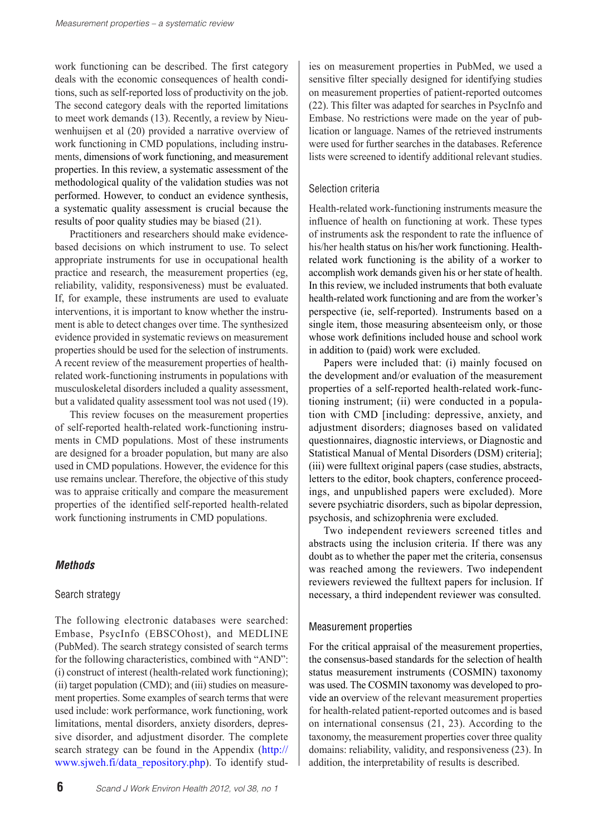work functioning can be described. The first category deals with the economic consequences of health conditions, such as self-reported loss of productivity on the job. The second category deals with the reported limitations to meet work demands (13). Recently, a review by Nieuwenhuijsen et al (20) provided a narrative overview of work functioning in CMD populations, including instruments, dimensions of work functioning, and measurement properties. In this review, a systematic assessment of the methodological quality of the validation studies was not performed. However, to conduct an evidence synthesis, a systematic quality assessment is crucial because the results of poor quality studies may be biased (21).

Practitioners and researchers should make evidencebased decisions on which instrument to use. To select appropriate instruments for use in occupational health practice and research, the measurement properties (eg, reliability, validity, responsiveness) must be evaluated. If, for example, these instruments are used to evaluate interventions, it is important to know whether the instrument is able to detect changes over time. The synthesized evidence provided in systematic reviews on measurement properties should be used for the selection of instruments. A recent review of the measurement properties of healthrelated work-functioning instruments in populations with musculoskeletal disorders included a quality assessment, but a validated quality assessment tool was not used (19).

This review focuses on the measurement properties of self-reported health-related work-functioning instruments in CMD populations. Most of these instruments are designed for a broader population, but many are also used in CMD populations. However, the evidence for this use remains unclear. Therefore, the objective of this study was to appraise critically and compare the measurement properties of the identified self-reported health-related work functioning instruments in CMD populations.

#### *Methods*

#### Search strategy

The following electronic databases were searched: Embase, PsycInfo (EBSCOhost), and MEDLINE (PubMed). The search strategy consisted of search terms for the following characteristics, combined with "AND": (i) construct of interest (health-related work functioning); (ii) target population (CMD); and (iii) studies on measurement properties. Some examples of search terms that were used include: work performance, work functioning, work limitations, mental disorders, anxiety disorders, depressive disorder, and adjustment disorder. The complete search strategy can be found in the Appendix ([http://](http://www.sjweh.fi/data_repository.php) [www.sjweh.fi/data\\_repository.php](http://www.sjweh.fi/data_repository.php)). To identify studies on measurement properties in PubMed, we used a sensitive filter specially designed for identifying studies on measurement properties of patient-reported outcomes (22). This filter was adapted for searches in PsycInfo and Embase. No restrictions were made on the year of publication or language. Names of the retrieved instruments were used for further searches in the databases. Reference lists were screened to identify additional relevant studies.

#### Selection criteria

Health-related work-functioning instruments measure the influence of health on functioning at work. These types of instruments ask the respondent to rate the influence of his/her health status on his/her work functioning. Healthrelated work functioning is the ability of a worker to accomplish work demands given his or her state of health. In this review, we included instruments that both evaluate health-related work functioning and are from the worker's perspective (ie, self-reported). Instruments based on a single item, those measuring absenteeism only, or those whose work definitions included house and school work in addition to (paid) work were excluded.

Papers were included that: (i) mainly focused on the development and/or evaluation of the measurement properties of a self-reported health-related work-functioning instrument; (ii) were conducted in a population with CMD [including: depressive, anxiety, and adjustment disorders; diagnoses based on validated questionnaires, diagnostic interviews, or Diagnostic and Statistical Manual of Mental Disorders (DSM) criteria]; (iii) were fulltext original papers (case studies, abstracts, letters to the editor, book chapters, conference proceedings, and unpublished papers were excluded). More severe psychiatric disorders, such as bipolar depression, psychosis, and schizophrenia were excluded.

Two independent reviewers screened titles and abstracts using the inclusion criteria. If there was any doubt as to whether the paper met the criteria, consensus was reached among the reviewers. Two independent reviewers reviewed the fulltext papers for inclusion. If necessary, a third independent reviewer was consulted.

#### Measurement properties

For the critical appraisal of the measurement properties, the consensus-based standards for the selection of health status measurement instruments (COSMIN) taxonomy was used. The COSMIN taxonomy was developed to provide an overview of the relevant measurement properties for health-related patient-reported outcomes and is based on international consensus (21, 23). According to the taxonomy, the measurement properties cover three quality domains: reliability, validity, and responsiveness (23). In addition, the interpretability of results is described.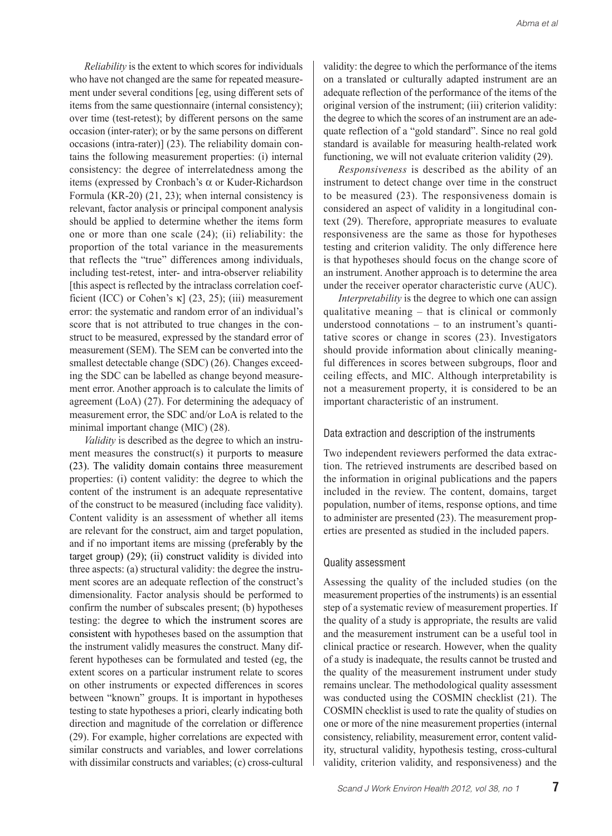*Reliability* is the extent to which scores for individuals who have not changed are the same for repeated measurement under several conditions [eg, using different sets of items from the same questionnaire (internal consistency); over time (test-retest); by different persons on the same occasion (inter-rater); or by the same persons on different occasions (intra-rater)] (23). The reliability domain contains the following measurement properties: (i) internal consistency: the degree of interrelatedness among the items (expressed by Cronbach's α or Kuder-Richardson Formula (KR-20) (21, 23); when internal consistency is relevant, factor analysis or principal component analysis should be applied to determine whether the items form one or more than one scale (24); (ii) reliability: the proportion of the total variance in the measurements that reflects the "true" differences among individuals, including test-retest, inter- and intra-observer reliability [this aspect is reflected by the intraclass correlation coefficient (ICC) or Cohen's  $\kappa$ ] (23, 25); (iii) measurement error: the systematic and random error of an individual's score that is not attributed to true changes in the construct to be measured, expressed by the standard error of measurement (SEM). The SEM can be converted into the smallest detectable change (SDC) (26). Changes exceeding the SDC can be labelled as change beyond measurement error. Another approach is to calculate the limits of agreement (LoA) (27). For determining the adequacy of measurement error, the SDC and/or LoA is related to the minimal important change (MIC) (28).

*Validity* is described as the degree to which an instrument measures the construct(s) it purports to measure (23). The validity domain contains three measurement properties: (i) content validity: the degree to which the content of the instrument is an adequate representative of the construct to be measured (including face validity). Content validity is an assessment of whether all items are relevant for the construct, aim and target population, and if no important items are missing (preferably by the target group) (29); (ii) construct validity is divided into three aspects: (a) structural validity: the degree the instrument scores are an adequate reflection of the construct's dimensionality. Factor analysis should be performed to confirm the number of subscales present; (b) hypotheses testing: the degree to which the instrument scores are consistent with hypotheses based on the assumption that the instrument validly measures the construct. Many different hypotheses can be formulated and tested (eg, the extent scores on a particular instrument relate to scores on other instruments or expected differences in scores between "known" groups. It is important in hypotheses testing to state hypotheses a priori, clearly indicating both direction and magnitude of the correlation or difference (29). For example, higher correlations are expected with similar constructs and variables, and lower correlations with dissimilar constructs and variables; (c) cross-cultural

validity: the degree to which the performance of the items on a translated or culturally adapted instrument are an adequate reflection of the performance of the items of the original version of the instrument; (iii) criterion validity: the degree to which the scores of an instrument are an adequate reflection of a "gold standard". Since no real gold standard is available for measuring health-related work functioning, we will not evaluate criterion validity (29).

*Responsiveness* is described as the ability of an instrument to detect change over time in the construct to be measured (23). The responsiveness domain is considered an aspect of validity in a longitudinal context (29). Therefore, appropriate measures to evaluate responsiveness are the same as those for hypotheses testing and criterion validity. The only difference here is that hypotheses should focus on the change score of an instrument. Another approach is to determine the area under the receiver operator characteristic curve (AUC).

*Interpretability* is the degree to which one can assign qualitative meaning – that is clinical or commonly understood connotations – to an instrument's quantitative scores or change in scores (23). Investigators should provide information about clinically meaningful differences in scores between subgroups, floor and ceiling effects, and MIC. Although interpretability is not a measurement property, it is considered to be an important characteristic of an instrument.

#### Data extraction and description of the instruments

Two independent reviewers performed the data extraction. The retrieved instruments are described based on the information in original publications and the papers included in the review. The content, domains, target population, number of items, response options, and time to administer are presented (23). The measurement properties are presented as studied in the included papers.

#### Quality assessment

Assessing the quality of the included studies (on the measurement properties of the instruments) is an essential step of a systematic review of measurement properties. If the quality of a study is appropriate, the results are valid and the measurement instrument can be a useful tool in clinical practice or research. However, when the quality of a study is inadequate, the results cannot be trusted and the quality of the measurement instrument under study remains unclear. The methodological quality assessment was conducted using the COSMIN checklist (21). The COSMIN checklist is used to rate the quality of studies on one or more of the nine measurement properties (internal consistency, reliability, measurement error, content validity, structural validity, hypothesis testing, cross-cultural validity, criterion validity, and responsiveness) and the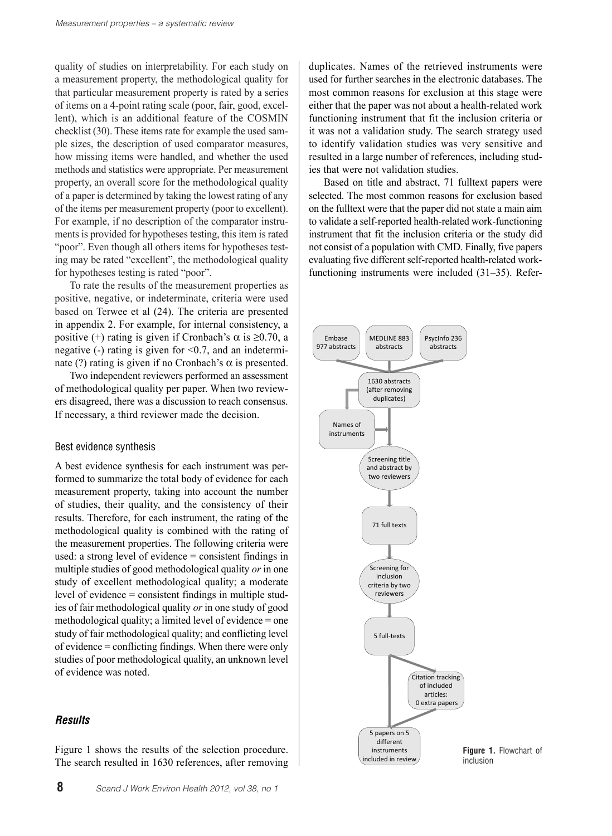quality of studies on interpretability. For each study on a measurement property, the methodological quality for that particular measurement property is rated by a series of items on a 4-point rating scale (poor, fair, good, excellent), which is an additional feature of the COSMIN checklist (30). These items rate for example the used sample sizes, the description of used comparator measures, how missing items were handled, and whether the used methods and statistics were appropriate. Per measurement property, an overall score for the methodological quality of a paper is determined by taking the lowest rating of any of the items per measurement property (poor to excellent). For example, if no description of the comparator instruments is provided for hypotheses testing, this item is rated "poor". Even though all others items for hypotheses testing may be rated "excellent", the methodological quality for hypotheses testing is rated "poor".

To rate the results of the measurement properties as positive, negative, or indeterminate, criteria were used based on Terwee et al (24). The criteria are presented in appendix 2. For example, for internal consistency, a positive (+) rating is given if Cronbach's  $\alpha$  is  $\geq 0.70$ , a negative  $(-)$  rating is given for  $\leq 0.7$ , and an indeterminate (?) rating is given if no Cronbach's  $\alpha$  is presented.

Two independent reviewers performed an assessment of methodological quality per paper. When two reviewers disagreed, there was a discussion to reach consensus. If necessary, a third reviewer made the decision.

## Best evidence synthesis

A best evidence synthesis for each instrument was performed to summarize the total body of evidence for each measurement property, taking into account the number of studies, their quality, and the consistency of their results. Therefore, for each instrument, the rating of the methodological quality is combined with the rating of the measurement properties. The following criteria were used: a strong level of evidence = consistent findings in multiple studies of good methodological quality *or* in one study of excellent methodological quality; a moderate level of evidence = consistent findings in multiple studies of fair methodological quality *or* in one study of good methodological quality; a limited level of evidence = one study of fair methodological quality; and conflicting level of evidence = conflicting findings. When there were only studies of poor methodological quality, an unknown level of evidence was noted.

# *Results*

Figure 1 shows the results of the selection procedure. The search resulted in 1630 references, after removing

duplicates. Names of the retrieved instruments were used for further searches in the electronic databases. The most common reasons for exclusion at this stage were either that the paper was not about a health-related work functioning instrument that fit the inclusion criteria or it was not a validation study. The search strategy used to identify validation studies was very sensitive and resulted in a large number of references, including studies that were not validation studies.

Based on title and abstract, 71 fulltext papers were selected. The most common reasons for exclusion based on the fulltext were that the paper did not state a main aim to validate a self-reported health-related work-functioning instrument that fit the inclusion criteria or the study did not consist of a population with CMD. Finally, five papers evaluating five different self-reported health-related workfunctioning instruments were included  $(31–35)$ . Refer-



**Figure 1.** Flowchart of inclusion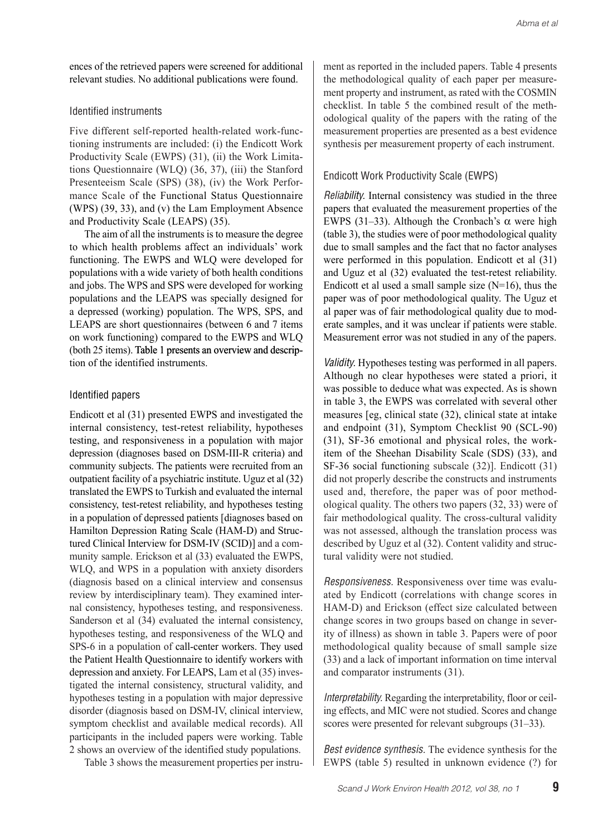ences of the retrieved papers were screened for additional relevant studies. No additional publications were found.

#### Identified instruments

Five different self-reported health-related work-functioning instruments are included: (i) the Endicott Work Productivity Scale (EWPS) (31), (ii) the Work Limitations Questionnaire (WLQ) (36, 37), (iii) the Stanford Presenteeism Scale (SPS) (38), (iv) the Work Performance Scale of the Functional Status Questionnaire (WPS) (39, 33), and (v) the Lam Employment Absence and Productivity Scale (LEAPS) (35).

The aim of all the instruments is to measure the degree to which health problems affect an individuals' work functioning. The EWPS and WLQ were developed for populations with a wide variety of both health conditions and jobs. The WPS and SPS were developed for working populations and the LEAPS was specially designed for a depressed (working) population. The WPS, SPS, and LEAPS are short questionnaires (between 6 and 7 items on work functioning) compared to the EWPS and WLQ  $(both 25 items)$ . Table 1 presents an overview and description of the identified instruments.

#### Identified papers

Endicott et al (31) presented EWPS and investigated the internal consistency, test-retest reliability, hypotheses testing, and responsiveness in a population with major depression (diagnoses based on DSM-III-R criteria) and community subjects. The patients were recruited from an outpatient facility of a psychiatric institute. Uguz et al (32) translated the EWPS to Turkish and evaluated the internal consistency, test-retest reliability, and hypotheses testing in a population of depressed patients [diagnoses based on Hamilton Depression Rating Scale (HAM-D) and Structured Clinical Interview for DSM-IV (SCID)] and a community sample. Erickson et al (33) evaluated the EWPS, WLQ, and WPS in a population with anxiety disorders (diagnosis based on a clinical interview and consensus review by interdisciplinary team). They examined internal consistency, hypotheses testing, and responsiveness. Sanderson et al (34) evaluated the internal consistency, hypotheses testing, and responsiveness of the WLQ and SPS-6 in a population of call-center workers. They used the Patient Health Questionnaire to identify workers with depression and anxiety. For LEAPS, Lam et al (35) investigated the internal consistency, structural validity, and hypotheses testing in a population with major depressive disorder (diagnosis based on DSM-IV, clinical interview, symptom checklist and available medical records). All participants in the included papers were working. Table 2 shows an overview of the identified study populations.

Table 3 shows the measurement properties per instru-

ment as reported in the included papers. Table 4 presents the methodological quality of each paper per measurement property and instrument, as rated with the COSMIN checklist. In table 5 the combined result of the methodological quality of the papers with the rating of the measurement properties are presented as a best evidence synthesis per measurement property of each instrument.

### Endicott Work Productivity Scale (EWPS)

*Reliability.* Internal consistency was studied in the three papers that evaluated the measurement properties of the EWPS (31–33). Although the Cronbach's  $\alpha$  were high (table 3), the studies were of poor methodological quality due to small samples and the fact that no factor analyses were performed in this population. Endicott et al (31) and Uguz et al (32) evaluated the test-retest reliability. Endicott et al used a small sample size  $(N=16)$ , thus the paper was of poor methodological quality. The Uguz et al paper was of fair methodological quality due to moderate samples, and it was unclear if patients were stable. Measurement error was not studied in any of the papers.

*Validity.* Hypotheses testing was performed in all papers. Although no clear hypotheses were stated a priori, it was possible to deduce what was expected. As is shown in table 3, the EWPS was correlated with several other measures [eg, clinical state (32), clinical state at intake and endpoint (31), Symptom Checklist 90 (SCL-90) (31), SF-36 emotional and physical roles, the workitem of the Sheehan Disability Scale (SDS) (33), and SF-36 social functioning subscale (32)]. Endicott (31) did not properly describe the constructs and instruments used and, therefore, the paper was of poor methodological quality. The others two papers (32, 33) were of fair methodological quality. The cross-cultural validity was not assessed, although the translation process was described by Uguz et al (32). Content validity and structural validity were not studied.

*Responsiveness.* Responsiveness over time was evaluated by Endicott (correlations with change scores in HAM-D) and Erickson (effect size calculated between change scores in two groups based on change in severity of illness) as shown in table 3. Papers were of poor methodological quality because of small sample size (33) and a lack of important information on time interval and comparator instruments (31).

*Interpretability.* Regarding the interpretability, floor or ceiling effects, and MIC were not studied. Scores and change scores were presented for relevant subgroups (31–33).

*Best evidence synthesis.* The evidence synthesis for the EWPS (table 5) resulted in unknown evidence (?) for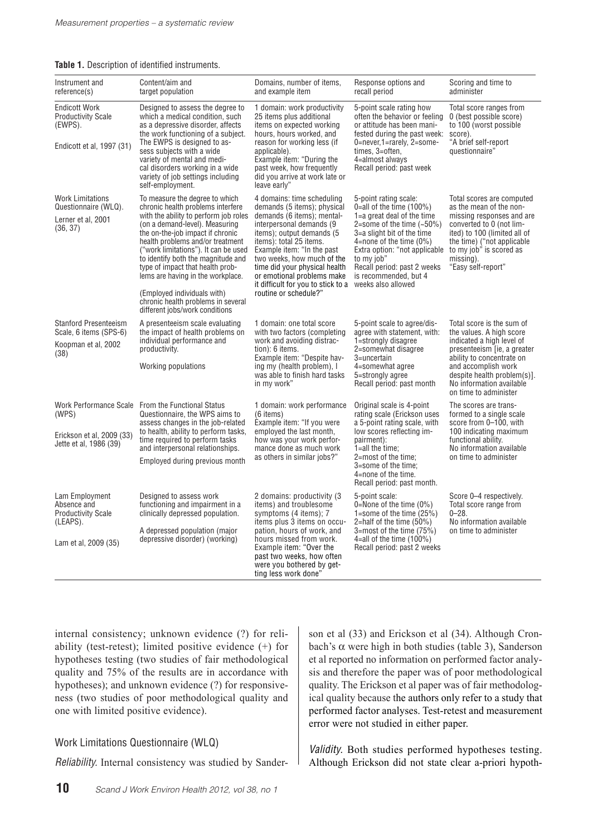| Instrument and<br>reference(s)                                                                 | Content/aim and<br>target population                                                                                                                                                                                                                                                                                                                                          | Domains, number of items,<br>and example item                                                                                                                                                                                                                                                                                                                    | Response options and<br>recall period                                                                                                                                                                                                                                                                            | Scoring and time to<br>administer                                                                                                                                                                                                                         |  |
|------------------------------------------------------------------------------------------------|-------------------------------------------------------------------------------------------------------------------------------------------------------------------------------------------------------------------------------------------------------------------------------------------------------------------------------------------------------------------------------|------------------------------------------------------------------------------------------------------------------------------------------------------------------------------------------------------------------------------------------------------------------------------------------------------------------------------------------------------------------|------------------------------------------------------------------------------------------------------------------------------------------------------------------------------------------------------------------------------------------------------------------------------------------------------------------|-----------------------------------------------------------------------------------------------------------------------------------------------------------------------------------------------------------------------------------------------------------|--|
| <b>Endicott Work</b><br><b>Productivity Scale</b><br>(EWPS).<br>Endicott et al, 1997 (31)      | Designed to assess the degree to<br>which a medical condition, such<br>as a depressive disorder, affects<br>the work functioning of a subject.<br>The EWPS is designed to as-<br>sess subjects with a wide<br>variety of mental and medi-<br>cal disorders working in a wide<br>variety of job settings including<br>self-employment.                                         | 1 domain: work productivity<br>25 items plus additional<br>items on expected working<br>hours, hours worked, and<br>reason for working less (if<br>applicable).<br>Example item: "During the<br>past week, how frequently<br>did you arrive at work late or<br>leave early"                                                                                      | 5-point scale rating how<br>often the behavior or feeling<br>or attitude has been mani-<br>fested during the past week:<br>0=never,1=rarely, 2=some-<br>times, 3=often,<br>4=almost always<br>Recall period: past week                                                                                           | Total score ranges from<br>0 (best possible score)<br>to 100 (worst possible<br>score).<br>"A brief self-report<br>questionnaire"                                                                                                                         |  |
| <b>Work Limitations</b><br>Questionnaire (WLQ).<br>Lerner et al, 2001<br>(36, 37)              | To measure the degree to which<br>chronic health problems interfere<br>with the ability to perform job roles<br>(on a demand-level). Measuring<br>the on-the-job impact if chronic<br>health problems and/or treatment<br>("work limitations"). It can be used<br>to identify both the magnitude and<br>type of impact that health prob-<br>lems are having in the workplace. | 4 domains: time scheduling<br>demands (5 items); physical<br>demands (6 items); mental-<br>interpersonal demands (9)<br>items); output demands (5<br>items): total 25 items.<br>Example item: "In the past<br>two weeks, how much of the<br>time did your physical health<br>or emotional problems make<br>it difficult for you to stick to a weeks also allowed | 5-point rating scale:<br>0=all of the time $(100\%)$<br>$1$ =a great deal of the time<br>2=some of the time $(-50\%)$<br>3=a slight bit of the time<br>4=none of the time $(0\%)$<br>Extra option: "not applicable to my job" is scored as<br>to my job"<br>Recall period: past 2 weeks<br>is recommended, but 4 | Total scores are computed<br>as the mean of the non-<br>missing responses and are<br>converted to 0 (not lim-<br>ited) to 100 (limited all of<br>the time) ("not applicable<br>missing).<br>"Easy self-report"                                            |  |
|                                                                                                | (Employed individuals with)<br>chronic health problems in several<br>different jobs/work conditions                                                                                                                                                                                                                                                                           | routine or schedule?"                                                                                                                                                                                                                                                                                                                                            |                                                                                                                                                                                                                                                                                                                  |                                                                                                                                                                                                                                                           |  |
| <b>Stanford Presenteeism</b><br>Scale, 6 items (SPS-6)<br>Koopman et al, 2002<br>(38)          | A presenteeism scale evaluating<br>the impact of health problems on<br>individual performance and<br>productivity.<br>Working populations                                                                                                                                                                                                                                     | 1 domain: one total score<br>with two factors (completing<br>work and avoiding distrac-<br>tion): 6 items.<br>Example item: "Despite hav-<br>ing my (health problem), I<br>was able to finish hard tasks<br>in my work"                                                                                                                                          | 5-point scale to agree/dis-<br>agree with statement, with:<br>1=strongly disagree<br>2=somewhat disagree<br>3=uncertain<br>4=somewhat agree<br>5=strongly agree<br>Recall period: past month                                                                                                                     | Total score is the sum of<br>the values. A high score<br>indicated a high level of<br>presenteeism [ie, a greater<br>ability to concentrate on<br>and accomplish work<br>despite health problem(s)].<br>No information available<br>on time to administer |  |
| (WPS)<br>Erickson et al, 2009 (33)<br>Jette et al, 1986 (39)                                   | Work Performance Scale From the Functional Status<br>Questionnaire, the WPS aims to<br>assess changes in the job-related<br>to health, ability to perform tasks,<br>time required to perform tasks<br>and interpersonal relationships.<br>Employed during previous month                                                                                                      | 1 domain: work performance<br>(6 items)<br>Example item: "If you were<br>employed the last month.<br>how was your work perfor-<br>mance done as much work<br>as others in similar jobs?"                                                                                                                                                                         | Original scale is 4-point<br>rating scale (Erickson uses<br>a 5-point rating scale, with<br>low scores reflecting im-<br>pairment):<br>$1 = all$ the time;<br>2=most of the time;<br>3=some of the time;<br>4=none of the time.<br>Recall period: past month.                                                    | The scores are trans-<br>formed to a single scale<br>score from 0-100, with<br>100 indicating maximum<br>functional ability.<br>No information available<br>on time to administer                                                                         |  |
| Lam Employment<br>Absence and<br><b>Productivity Scale</b><br>(LEAPS).<br>Lam et al, 2009 (35) | Designed to assess work<br>functioning and impairment in a<br>clinically depressed population.<br>A depressed population (major<br>depressive disorder) (working)                                                                                                                                                                                                             | 2 domains: productivity (3)<br>items) and troublesome<br>symptoms (4 items); 7<br>items plus 3 items on occu-<br>pation, hours of work, and<br>hours missed from work.<br>Example item: "Over the<br>past two weeks, how often<br>were you bothered by get-<br>ting less work done"                                                                              | 5-point scale:<br>$0 =$ None of the time $(0\%)$<br>1=some of the time $(25%)$<br>2=half of the time $(50\%)$<br>3=most of the time (75%)<br>4=all of the time $(100\%)$<br>Recall period: past 2 weeks                                                                                                          | Score 0-4 respectively.<br>Total score range from<br>$0 - 28.$<br>No information available<br>on time to administer                                                                                                                                       |  |

internal consistency; unknown evidence (?) for reliability (test-retest); limited positive evidence (+) for hypotheses testing (two studies of fair methodological quality and 75% of the results are in accordance with hypotheses); and unknown evidence (?) for responsiveness (two studies of poor methodological quality and one with limited positive evidence).

# Work Limitations Questionnaire (WLQ)

*Reliability.* Internal consistency was studied by Sander-

son et al (33) and Erickson et al (34). Although Cronbach's α were high in both studies (table 3), Sanderson et al reported no information on performed factor analysis and therefore the paper was of poor methodological quality. The Erickson et al paper was of fair methodological quality because the authors only refer to a study that performed factor analyses. Test-retest and measurement error were not studied in either paper.

*Validity.* Both studies performed hypotheses testing. Although Erickson did not state clear a-priori hypoth-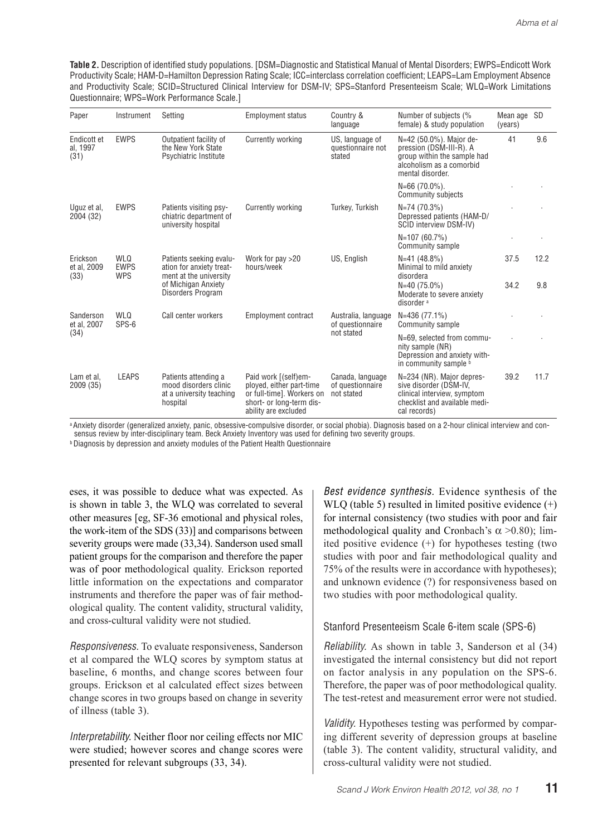**Table 2.** Description of identified study populations. [DSM=Diagnostic and Statistical Manual of Mental Disorders; EWPS=Endicott Work Productivity Scale; HAM-D=Hamilton Depression Rating Scale; ICC=interclass correlation coefficient; LEAPS=Lam Employment Absence and Productivity Scale; SCID=Structured Clinical Interview for DSM-IV; SPS=Stanford Presenteeism Scale; WLQ=Work Limitations Questionnaire; WPS=Work Performance Scale.]

| Paper                           | Instrument                              | Setting                                                                                                                   | <b>Employment status</b>                                                                                                          | Country &<br>language                              | Number of subjects (%<br>female) & study population                                                                                 | Mean age SD<br>(years) |             |
|---------------------------------|-----------------------------------------|---------------------------------------------------------------------------------------------------------------------------|-----------------------------------------------------------------------------------------------------------------------------------|----------------------------------------------------|-------------------------------------------------------------------------------------------------------------------------------------|------------------------|-------------|
| Endicott et<br>al, 1997<br>(31) | <b>EWPS</b>                             | Outpatient facility of<br>the New York State<br>Psychiatric Institute                                                     | Currently working                                                                                                                 | US, language of<br>questionnaire not<br>stated     | N=42 (50.0%). Major de-<br>pression (DSM-III-R). A<br>group within the sample had<br>alcoholism as a comorbid<br>mental disorder.   | 41                     | 9.6         |
|                                 |                                         |                                                                                                                           |                                                                                                                                   |                                                    | $N=66$ (70.0%).<br><b>Community subjects</b>                                                                                        |                        |             |
| Uguz et al.<br>2004 (32)        | <b>EWPS</b>                             | Patients visiting psy-<br>chiatric department of<br>university hospital                                                   | Currently working                                                                                                                 | Turkey, Turkish                                    | $N=74(70.3\%)$<br>Depressed patients (HAM-D/<br>SCID interview DSM-IV)                                                              |                        |             |
|                                 |                                         |                                                                                                                           |                                                                                                                                   |                                                    | $N=107(60.7%)$<br>Community sample                                                                                                  |                        |             |
| Erickson<br>et al, 2009<br>(33) | <b>WLQ</b><br><b>EWPS</b><br><b>WPS</b> | Patients seeking evalu-<br>ation for anxiety treat-<br>ment at the university<br>of Michigan Anxiety<br>Disorders Program | Work for pay >20<br>hours/week                                                                                                    | US, English                                        | $N=41(48.8\%)$<br>Minimal to mild anxiety<br>disordera<br>$N=40(75.0\%)$<br>Moderate to severe anxiety<br>disorder <sup>a</sup>     | 37.5<br>34.2           | 12.2<br>9.8 |
| Sanderson<br>et al, 2007        | <b>WLQ</b><br>SPS-6                     | Call center workers                                                                                                       | <b>Employment contract</b>                                                                                                        | Australia, language<br>of questionnaire            | N=436 (77.1%)<br>Community sample                                                                                                   |                        |             |
| (34)                            |                                         |                                                                                                                           |                                                                                                                                   | not stated                                         | N=69, selected from commu-<br>nity sample (NR)<br>Depression and anxiety with-<br>in community sample b                             |                        |             |
| Lam et al.<br>2009 (35)         | <b>LEAPS</b>                            | Patients attending a<br>mood disorders clinic<br>at a university teaching<br>hospital                                     | Paid work [(self)em-<br>ployed, either part-time<br>or full-time]. Workers on<br>short- or long-term dis-<br>ability are excluded | Canada, language<br>of questionnaire<br>not stated | N=234 (NR). Major depres-<br>sive disorder (DSM-IV,<br>clinical interview, symptom<br>checklist and available medi-<br>cal records) | 39.2                   | 11.7        |

a Anxiety disorder (generalized anxiety, panic, obsessive-compulsive disorder, or social phobia). Diagnosis based on a 2-hour clinical interview and consensus review by inter-disciplinary team. Beck Anxiety Inventory was used for defining two severity groups.

**Diagnosis by depression and anxiety modules of the Patient Health Questionnaire** 

eses, it was possible to deduce what was expected. As is shown in table 3, the WLQ was correlated to several other measures [eg, SF-36 emotional and physical roles, the work-item of the SDS (33)] and comparisons between severity groups were made (33,34). Sanderson used small patient groups for the comparison and therefore the paper was of poor methodological quality. Erickson reported little information on the expectations and comparator instruments and therefore the paper was of fair methodological quality. The content validity, structural validity, and cross-cultural validity were not studied.

*Responsiveness.* To evaluate responsiveness, Sanderson et al compared the WLQ scores by symptom status at baseline, 6 months, and change scores between four groups. Erickson et al calculated effect sizes between change scores in two groups based on change in severity of illness (table 3).

*Interpretability.* Neither floor nor ceiling effects nor MIC were studied; however scores and change scores were presented for relevant subgroups (33, 34).

*Best evidence synthesis.* Evidence synthesis of the WLQ (table 5) resulted in limited positive evidence (+) for internal consistency (two studies with poor and fair methodological quality and Cronbach's  $\alpha$  >0.80); limited positive evidence (+) for hypotheses testing (two studies with poor and fair methodological quality and 75% of the results were in accordance with hypotheses); and unknown evidence (?) for responsiveness based on two studies with poor methodological quality.

# Stanford Presenteeism Scale 6-item scale (SPS-6)

*Reliability.* As shown in table 3, Sanderson et al (34) investigated the internal consistency but did not report on factor analysis in any population on the SPS-6. Therefore, the paper was of poor methodological quality. The test-retest and measurement error were not studied.

*Validity.* Hypotheses testing was performed by comparing different severity of depression groups at baseline (table 3). The content validity, structural validity, and cross-cultural validity were not studied.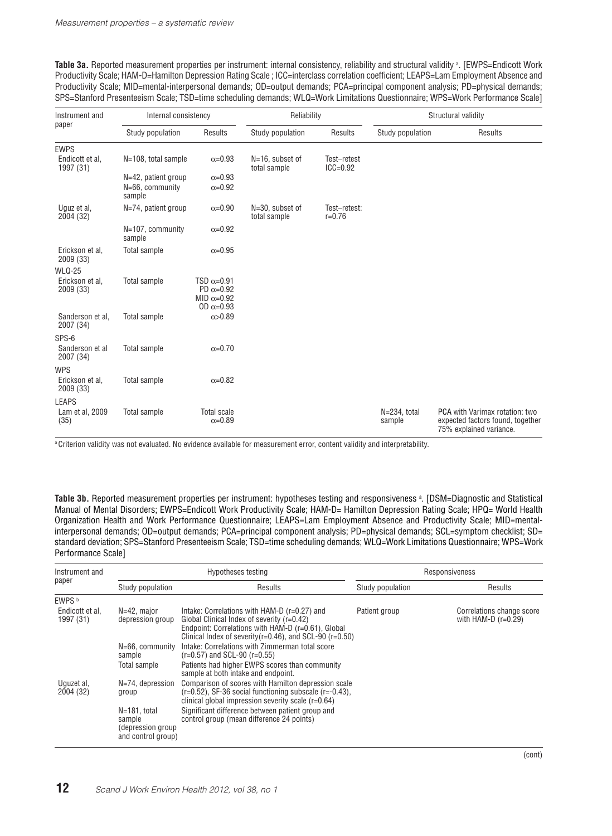**Table 3a.** Reported measurement properties per instrument: internal consistency, reliability and structural validity ª. [EWPS=Endicott Work Productivity Scale; HAM-D=Hamilton Depression Rating Scale ; ICC=interclass correlation coefficient; LEAPS=Lam Employment Absence and Productivity Scale; MID=mental-interpersonal demands; OD=output demands; PCA=principal component analysis; PD=physical demands; SPS=Stanford Presenteeism Scale; TSD=time scheduling demands; WLQ=Work Limitations Questionnaire; WPS=Work Performance Scale]

| Instrument and                | Internal consistency       |                                                                                    | Reliability                     |                            | Structural validity    |                                                                                               |  |
|-------------------------------|----------------------------|------------------------------------------------------------------------------------|---------------------------------|----------------------------|------------------------|-----------------------------------------------------------------------------------------------|--|
| paper                         | Study population           | Results                                                                            | Study population                | Results                    | Study population       | Results                                                                                       |  |
| <b>EWPS</b>                   |                            |                                                                                    |                                 |                            |                        |                                                                                               |  |
| Endicott et al.<br>1997 (31)  | N=108, total sample        | $\alpha = 0.93$                                                                    | N=16, subset of<br>total sample | Test-retest<br>$ICC=0.92$  |                        |                                                                                               |  |
|                               | N=42, patient group        | $\alpha = 0.93$                                                                    |                                 |                            |                        |                                                                                               |  |
|                               | N=66, community<br>sample  | $\alpha = 0.92$                                                                    |                                 |                            |                        |                                                                                               |  |
| Uguz et al.<br>2004 (32)      | N=74, patient group        | $\alpha = 0.90$                                                                    | N=30, subset of<br>total sample | Test-retest:<br>$r = 0.76$ |                        |                                                                                               |  |
|                               | N=107, community<br>sample | $\alpha = 0.92$                                                                    |                                 |                            |                        |                                                                                               |  |
| Erickson et al.<br>2009 (33)  | Total sample               | $\alpha = 0.95$                                                                    |                                 |                            |                        |                                                                                               |  |
| <b>WLQ-25</b>                 |                            |                                                                                    |                                 |                            |                        |                                                                                               |  |
| Erickson et al.<br>2009 (33)  | Total sample               | TSD $\alpha$ =0.91<br>PD $\alpha$ =0.92<br>MID $\alpha$ =0.92<br>OD $\alpha$ =0.93 |                                 |                            |                        |                                                                                               |  |
| Sanderson et al.<br>2007 (34) | Total sample               | $\alpha > 0.89$                                                                    |                                 |                            |                        |                                                                                               |  |
| SPS-6                         |                            |                                                                                    |                                 |                            |                        |                                                                                               |  |
| Sanderson et al<br>2007 (34)  | Total sample               | $\alpha = 0.70$                                                                    |                                 |                            |                        |                                                                                               |  |
| <b>WPS</b>                    |                            |                                                                                    |                                 |                            |                        |                                                                                               |  |
| Erickson et al.<br>2009 (33)  | Total sample               | $\alpha = 0.82$                                                                    |                                 |                            |                        |                                                                                               |  |
| <b>LEAPS</b>                  |                            |                                                                                    |                                 |                            |                        |                                                                                               |  |
| Lam et al, 2009<br>(35)       | Total sample               | Total scale<br>$\alpha = 0.89$                                                     |                                 |                            | N=234, total<br>sample | PCA with Varimax rotation: two<br>expected factors found, together<br>75% explained variance. |  |

a Criterion validity was not evaluated. No evidence available for measurement error, content validity and interpretability.

**Table 3b.** Reported measurement properties per instrument: hypotheses testing and responsiveness <sup>a</sup>. [DSM=Diagnostic and Statistical Manual of Mental Disorders; EWPS=Endicott Work Productivity Scale; HAM-D= Hamilton Depression Rating Scale; HPQ= World Health Organization Health and Work Performance Questionnaire; LEAPS=Lam Employment Absence and Productivity Scale; MID=mentalinterpersonal demands; OD=output demands; PCA=principal component analysis; PD=physical demands; SCL=symptom checklist; SD= standard deviation; SPS=Stanford Presenteeism Scale; TSD=time scheduling demands; WLQ=Work Limitations Questionnaire; WPS=Work Performance Scale]

| Instrument and<br>paper      |                                                                       | Hypotheses testing                                                                                                                                                                                                | Responsiveness   |                                                    |  |
|------------------------------|-----------------------------------------------------------------------|-------------------------------------------------------------------------------------------------------------------------------------------------------------------------------------------------------------------|------------------|----------------------------------------------------|--|
|                              | Study population                                                      | Results                                                                                                                                                                                                           | Study population | Results                                            |  |
| EWPS b                       |                                                                       |                                                                                                                                                                                                                   |                  |                                                    |  |
| Endicott et al.<br>1997 (31) | N=42, maior<br>depression group                                       | Intake: Correlations with HAM-D (r=0.27) and<br>Global Clinical Index of severity (r=0.42)<br>Endpoint: Correlations with HAM-D (r=0.61), Global<br>Clinical Index of severity $(r=0.46)$ , and SCL-90 $(r=0.50)$ | Patient group    | Correlations change score<br>with HAM-D $(r=0.29)$ |  |
|                              | N=66, community<br>sample<br>Total sample                             | Intake: Correlations with Zimmerman total score<br>$(r=0.57)$ and SCL-90 $(r=0.55)$<br>Patients had higher EWPS scores than community<br>sample at both intake and endpoint.                                      |                  |                                                    |  |
| Uguzet al,<br>2004 (32)      | N=74, depression<br>group                                             | Comparison of scores with Hamilton depression scale<br>$(r=0.52)$ , SF-36 social functioning subscale $(r=-0.43)$ ,<br>clinical global impression severity scale (r=0.64)                                         |                  |                                                    |  |
|                              | $N=181$ . total<br>sample<br>(depression group)<br>and control group) | Significant difference between patient group and<br>control group (mean difference 24 points)                                                                                                                     |                  |                                                    |  |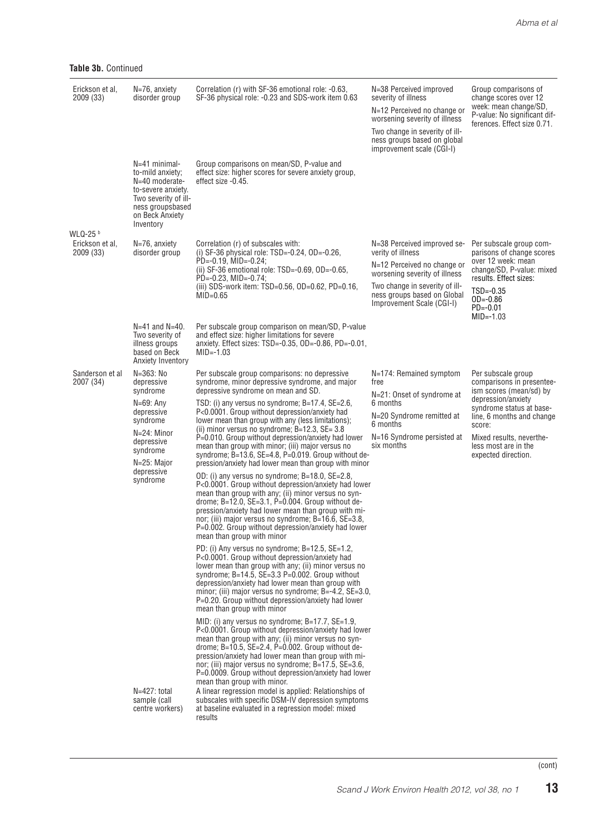#### **Table 3b.** Continued

| Erickson et al.<br>2009 (33)             | N=76, anxiety<br>disorder group                                                                                                                           | Correlation (r) with SF-36 emotional role: -0.63,<br>SF-36 physical role: -0.23 and SDS-work item 0.63                                                                                                                                                                                                                                                                                                                                    | N=38 Perceived improved<br>severity of illness<br>N=12 Perceived no change or<br>worsening severity of illness<br>Two change in severity of ill-<br>ness groups based on global<br>improvement scale (CGI-I)   | Group comparisons of<br>change scores over 12<br>week: mean change/SD,<br>P-value: No significant dif-<br>ferences. Effect size 0.71.                                                             |
|------------------------------------------|-----------------------------------------------------------------------------------------------------------------------------------------------------------|-------------------------------------------------------------------------------------------------------------------------------------------------------------------------------------------------------------------------------------------------------------------------------------------------------------------------------------------------------------------------------------------------------------------------------------------|----------------------------------------------------------------------------------------------------------------------------------------------------------------------------------------------------------------|---------------------------------------------------------------------------------------------------------------------------------------------------------------------------------------------------|
|                                          | $N = 41$ minimal-<br>to-mild anxiety;<br>N=40 moderate-<br>to-severe anxiety.<br>Two severity of ill-<br>ness groupsbased<br>on Beck Anxiety<br>Inventory | Group comparisons on mean/SD, P-value and<br>effect size: higher scores for severe anxiety group,<br>effect size -0.45.                                                                                                                                                                                                                                                                                                                   |                                                                                                                                                                                                                |                                                                                                                                                                                                   |
| WLQ-25 b<br>Erickson et al,<br>2009 (33) | N=76, anxiety<br>disorder group                                                                                                                           | Correlation (r) of subscales with:<br>(i) SF-36 physical role: $TSD=-0.24$ , $OD=-0.26$ ,<br>$PD=-0.19$ , MID $=-0.24$ ;<br>(ii) SF-36 emotional role: TSD=-0.69, OD=-0.65,<br>PD=-0.23, MID=-0.74;<br>(iii) SDS-work item: TSD=0.56, OD=0.62, PD=0.16,<br>$MID = 0.65$                                                                                                                                                                   | N=38 Perceived improved se-<br>verity of illness<br>N=12 Perceived no change or<br>worsening severity of illness<br>Two change in severity of ill-<br>ness groups based on Global<br>Improvement Scale (CGI-I) | Per subscale group com-<br>parisons of change scores<br>over 12 week: mean<br>change/SD, P-value: mixed<br>results. Effect sizes:<br>$TSD=-0.35$<br>$OD = -0.86$<br>$PD = -0.01$<br>$MID = -1.03$ |
|                                          | $N=41$ and $N=40$ .<br>Two severity of<br>illness groups<br>based on Beck<br>Anxiety Inventory                                                            | Per subscale group comparison on mean/SD, P-value<br>and effect size: higher limitations for severe<br>anxiety. Effect sizes: $TSD=-0.35$ , $OD=-0.86$ , $PD=-0.01$ ,<br>$MID = -1.03$                                                                                                                                                                                                                                                    |                                                                                                                                                                                                                |                                                                                                                                                                                                   |
| Sanderson et al<br>2007 (34)             | N=363: No<br>depressive<br>syndrome<br>N=69: Any<br>depressive<br>syndrome                                                                                | Per subscale group comparisons: no depressive<br>syndrome, minor depressive syndrome, and major<br>depressive syndrome on mean and SD.<br>TSD: (i) any versus no syndrome; B=17.4, SE=2.6,<br>P<0.0001. Group without depression/anxiety had<br>lower mean than group with any (less limitations);                                                                                                                                        | N=174: Remained symptom<br>free<br>N=21: Onset of syndrome at<br>6 months<br>N=20 Syndrome remitted at<br>6 months                                                                                             | Per subscale group<br>comparisons in presentee-<br>ism scores (mean/sd) by<br>depression/anxiety<br>syndrome status at base-<br>line, 6 months and change<br>score:                               |
|                                          | N=24: Minor<br>depressive<br>syndrome<br>N=25: Major<br>depressive<br>syndrome                                                                            | (ii) minor versus no syndrome; $B=12.3$ , $SE=3.8$<br>P=0.010. Group without depression/anxiety had lower<br>mean than group with minor; (iii) major versus no<br>syndrome; B=13.6, SE=4.8, P=0.019. Group without de-<br>pression/anxiety had lower mean than group with minor                                                                                                                                                           | N=16 Syndrome persisted at<br>six months                                                                                                                                                                       | Mixed results, neverthe-<br>less most are in the<br>expected direction.                                                                                                                           |
|                                          |                                                                                                                                                           | OD: (i) any versus no syndrome; B=18.0, SE=2.8,<br>P<0.0001. Group without depression/anxiety had lower<br>mean than group with any; (ii) minor versus no syn-<br>drome; $B=12.0$ , $SE=3.1$ , $P=0.004$ . Group without de-<br>pression/anxiety had lower mean than group with mi-<br>nor; (iii) major versus no syndrome; B=16.6, SE=3.8,<br>P=0.002. Group without depression/anxiety had lower<br>mean than group with minor          |                                                                                                                                                                                                                |                                                                                                                                                                                                   |
|                                          |                                                                                                                                                           | PD: (i) Any versus no syndrome; B=12.5, SE=1.2,<br>P<0.0001. Group without depression/anxiety had<br>lower mean than group with any; (ii) minor versus no<br>syndrome; $B=14.5$ , $SE=3.3$ P=0.002. Group without<br>depression/anxiety had lower mean than group with<br>minor; (iii) major versus no syndrome; B=-4.2, SE=3.0,<br>P=0.20. Group without depression/anxiety had lower<br>mean than group with minor                      |                                                                                                                                                                                                                |                                                                                                                                                                                                   |
|                                          |                                                                                                                                                           | MID: (i) any versus no syndrome; $B=17.7$ , $SE=1.9$ ,<br>P<0.0001. Group without depression/anxiety had lower<br>mean than group with any; (ii) minor versus no syn-<br>drome; $B=10.5$ , $SE=2.4$ , $P=0.002$ . Group without de-<br>pression/anxiety had lower mean than group with mi-<br>nor; (iii) major versus no syndrome; B=17.5, SE=3.6,<br>P=0.0009. Group without depression/anxiety had lower<br>mean than group with minor. |                                                                                                                                                                                                                |                                                                                                                                                                                                   |
|                                          | N=427: total<br>sample (call<br>centre workers)                                                                                                           | A linear regression model is applied: Relationships of<br>subscales with specific DSM-IV depression symptoms<br>at baseline evaluated in a regression model: mixed<br>results                                                                                                                                                                                                                                                             |                                                                                                                                                                                                                |                                                                                                                                                                                                   |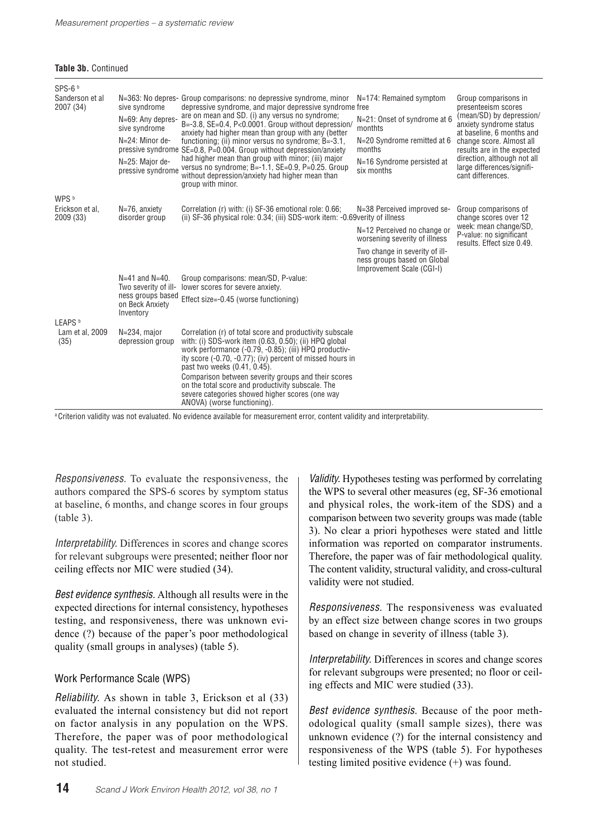#### **Table 3b.** Continued

| $SPS-6$ <sup>b</sup>         |                                                                                                                   |                                                                                                                                                                                                                                                                                                                                                                                                                                                                                                                                                                                                                                |                                                                                                                                                         |                                                                                                                                                                                                                                                                              |  |
|------------------------------|-------------------------------------------------------------------------------------------------------------------|--------------------------------------------------------------------------------------------------------------------------------------------------------------------------------------------------------------------------------------------------------------------------------------------------------------------------------------------------------------------------------------------------------------------------------------------------------------------------------------------------------------------------------------------------------------------------------------------------------------------------------|---------------------------------------------------------------------------------------------------------------------------------------------------------|------------------------------------------------------------------------------------------------------------------------------------------------------------------------------------------------------------------------------------------------------------------------------|--|
| Sanderson et al<br>2007 (34) | sive syndrome<br>N=69: Any depres-<br>sive syndrome<br>$N=24$ : Minor de-<br>N=25: Major de-<br>pressive syndrome | N=363: No depres- Group comparisons: no depressive syndrome, minor<br>depressive syndrome, and major depressive syndrome free<br>are on mean and SD. (i) any versus no syndrome;<br>$B = -3.8$ , $SE = 0.4$ , $P < 0.0001$ . Group without depression/<br>anxiety had higher mean than group with any (better<br>functioning; (ii) minor versus no syndrome; B=-3.1,<br>pressive syndrome SE=0.8, P=0.004. Group without depression/anxiety<br>had higher mean than group with minor; (iii) major<br>versus no syndrome; B=-1.1, SE=0.9, P=0.25. Group<br>without depression/anxiety had higher mean than<br>group with minor. | N=174: Remained symptom<br>N=21: Onset of syndrome at 6<br>monthts<br>N=20 Syndrome remitted at 6<br>months<br>N=16 Syndrome persisted at<br>six months | Group comparisons in<br>presenteeism scores<br>(mean/SD) by depression/<br>anxiety syndrome status<br>at baseline, 6 months and<br>change score. Almost all<br>results are in the expected<br>direction, although not all<br>large differences/signifi-<br>cant differences. |  |
| WPS b                        |                                                                                                                   |                                                                                                                                                                                                                                                                                                                                                                                                                                                                                                                                                                                                                                |                                                                                                                                                         |                                                                                                                                                                                                                                                                              |  |
| Erickson et al.<br>2009 (33) | $N=76$ , anxiety<br>disorder group                                                                                | Correlation (r) with: (i) SF-36 emotional role: 0.66;<br>(ii) SF-36 physical role: 0.34; (iii) SDS-work item: -0.69 verity of illness                                                                                                                                                                                                                                                                                                                                                                                                                                                                                          | N=38 Perceived improved se-                                                                                                                             | Group comparisons of<br>change scores over 12<br>week: mean change/SD,<br>P-value: no significant<br>results. Effect size 0.49.                                                                                                                                              |  |
|                              |                                                                                                                   |                                                                                                                                                                                                                                                                                                                                                                                                                                                                                                                                                                                                                                | N=12 Perceived no change or<br>worsening severity of illness                                                                                            |                                                                                                                                                                                                                                                                              |  |
|                              |                                                                                                                   |                                                                                                                                                                                                                                                                                                                                                                                                                                                                                                                                                                                                                                | Two change in severity of ill-<br>ness groups based on Global<br>Improvement Scale (CGI-I)                                                              |                                                                                                                                                                                                                                                                              |  |
|                              | $N=41$ and $N=40$ .<br>Two severity of ill-                                                                       | Group comparisons: mean/SD, P-value:<br>lower scores for severe anxiety.                                                                                                                                                                                                                                                                                                                                                                                                                                                                                                                                                       |                                                                                                                                                         |                                                                                                                                                                                                                                                                              |  |
| LEAPS <sup>b</sup>           | ness groups based<br>on Beck Anxiety<br>Inventory                                                                 | Effect size=-0.45 (worse functioning)                                                                                                                                                                                                                                                                                                                                                                                                                                                                                                                                                                                          |                                                                                                                                                         |                                                                                                                                                                                                                                                                              |  |
| Lam et al, 2009<br>(35)      | N=234, major<br>depression group                                                                                  | Correlation (r) of total score and productivity subscale<br>with: (i) SDS-work item (0.63, 0.50); (ii) HPQ global<br>work performance (-0.79, -0.85); (iii) HPQ productiv-<br>ity score (-0.70, -0.77); (iv) percent of missed hours in<br>past two weeks (0.41, 0.45).<br>Comparison between severity groups and their scores<br>on the total score and productivity subscale. The<br>severe categories showed higher scores (one way<br>ANOVA) (worse functioning).                                                                                                                                                          |                                                                                                                                                         |                                                                                                                                                                                                                                                                              |  |

a Criterion validity was not evaluated. No evidence available for measurement error, content validity and interpretability.

*Responsiveness.* To evaluate the responsiveness, the authors compared the SPS-6 scores by symptom status at baseline, 6 months, and change scores in four groups (table 3).

*Interpretability.* Differences in scores and change scores for relevant subgroups were presented; neither floor nor ceiling effects nor MIC were studied (34).

*Best evidence synthesis.* Although all results were in the expected directions for internal consistency, hypotheses testing, and responsiveness, there was unknown evidence (?) because of the paper's poor methodological quality (small groups in analyses) (table 5).

## Work Performance Scale (WPS)

*Reliability.* As shown in table 3, Erickson et al (33) evaluated the internal consistency but did not report on factor analysis in any population on the WPS. Therefore, the paper was of poor methodological quality. The test-retest and measurement error were not studied.

*Validity.* Hypotheses testing was performed by correlating the WPS to several other measures (eg, SF-36 emotional and physical roles, the work-item of the SDS) and a comparison between two severity groups was made (table 3). No clear a priori hypotheses were stated and little information was reported on comparator instruments. Therefore, the paper was of fair methodological quality. The content validity, structural validity, and cross-cultural validity were not studied.

*Responsiveness.* The responsiveness was evaluated by an effect size between change scores in two groups based on change in severity of illness (table 3).

*Interpretability.* Differences in scores and change scores for relevant subgroups were presented; no floor or ceiling effects and MIC were studied (33).

*Best evidence synthesis.* Because of the poor methodological quality (small sample sizes), there was unknown evidence (?) for the internal consistency and responsiveness of the WPS (table 5). For hypotheses testing limited positive evidence (+) was found.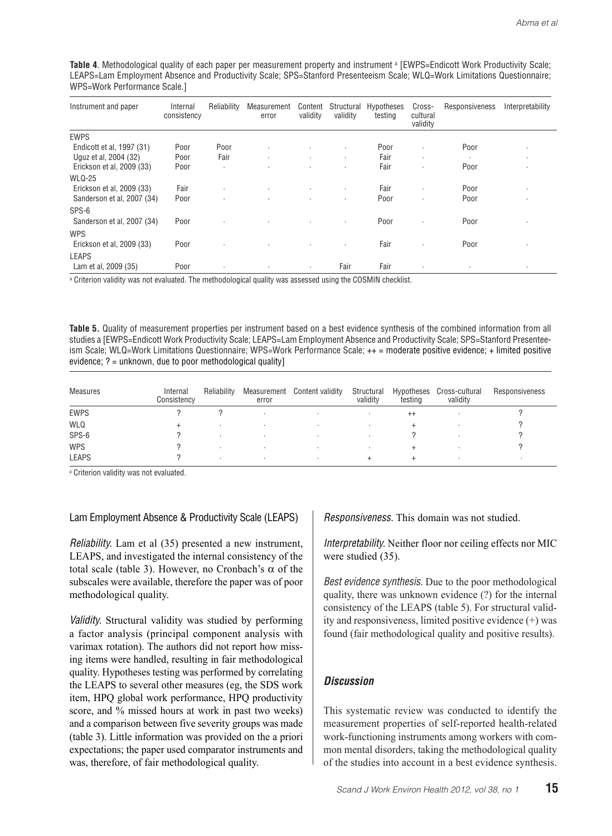**Table 4**. Methodological quality of each paper per measurement property and instrument a [EWPS=Endicott Work Productivity Scale; LEAPS=Lam Employment Absence and Productivity Scale; SPS=Stanford Presenteeism Scale; WLQ=Work Limitations Questionnaire; WPS=Work Performance Scale.]

| Instrument and paper       | Internal<br>consistency | Reliability | Measurement<br>error | Content<br>validity | Structural<br>validity | Hypotheses<br>testing | Cross-<br>cultural<br>validity | Responsiveness | Interpretability |
|----------------------------|-------------------------|-------------|----------------------|---------------------|------------------------|-----------------------|--------------------------------|----------------|------------------|
| <b>EWPS</b>                |                         |             |                      |                     |                        |                       |                                |                |                  |
| Endicott et al. 1997 (31)  | Poor                    | Poor        |                      |                     | $\cdot$                | Poor                  | $\cdot$                        | Poor           | $\cdot$          |
| Uguz et al, 2004 (32)      | Poor                    | Fair        |                      | ٠                   | $\cdot$                | Fair                  | ٠                              | $\cdot$        | $\cdot$          |
| Erickson et al, 2009 (33)  | Poor                    | $\cdot$     |                      | $\cdot$             | $\cdot$                | Fair                  | ٠                              | Poor           | $\cdot$          |
| <b>WLQ-25</b>              |                         |             |                      |                     |                        |                       |                                |                |                  |
| Erickson et al, 2009 (33)  | Fair                    |             |                      | $\cdot$             | $\cdot$                | Fair                  | ٠                              | Poor           | $\cdot$          |
| Sanderson et al, 2007 (34) | Poor                    |             |                      |                     | $\cdot$                | Poor                  | ٠                              | Poor           | $\cdot$          |
| SPS-6                      |                         |             |                      |                     |                        |                       |                                |                |                  |
| Sanderson et al, 2007 (34) | Poor                    |             |                      |                     | $\cdot$                | Poor                  | ٠                              | Poor           |                  |
| <b>WPS</b>                 |                         |             |                      |                     |                        |                       |                                |                |                  |
| Erickson et al. 2009 (33)  | Poor                    |             | $\cdot$              | $\cdot$             | $\cdot$                | Fair                  |                                | Poor           |                  |
| <b>LEAPS</b>               |                         |             |                      |                     |                        |                       |                                |                |                  |
| Lam et al, 2009 (35)       | Poor                    |             | $\cdot$              | $\cdot$             | Fair                   | Fair                  | $\cdot$                        | $\cdot$        | $\cdot$          |

a Criterion validity was not evaluated. The methodological quality was assessed using the COSMIN checklist.

**Table 5.** Quality of measurement properties per instrument based on a best evidence synthesis of the combined information from all studies a [EWPS=Endicott Work Productivity Scale; LEAPS=Lam Employment Absence and Productivity Scale; SPS=Stanford Presenteeism Scale; WLQ=Work Limitations Questionnaire; WPS=Work Performance Scale; ++ = moderate positive evidence; + limited positive evidence; ? = unknown, due to poor methodological quality]

| Measures     | Internal<br>Consistency | Reliability | error | Measurement Content validity | Structural<br>validity | testing | Hypotheses Cross-cultural<br>validity | Responsiveness |
|--------------|-------------------------|-------------|-------|------------------------------|------------------------|---------|---------------------------------------|----------------|
| <b>EWPS</b>  |                         |             |       |                              |                        | $^{++}$ |                                       |                |
| <b>WLQ</b>   |                         |             |       |                              |                        |         |                                       |                |
| SPS-6        |                         |             |       |                              |                        |         |                                       |                |
| <b>WPS</b>   |                         |             |       |                              |                        |         |                                       |                |
| <b>LEAPS</b> |                         |             |       |                              |                        |         |                                       |                |

a Criterion validity was not evaluated.

#### Lam Employment Absence & Productivity Scale (LEAPS)

*Reliability.* Lam et al (35) presented a new instrument, LEAPS, and investigated the internal consistency of the total scale (table 3). However, no Cronbach's α of the subscales were available, therefore the paper was of poor methodological quality.

*Validity.* Structural validity was studied by performing a factor analysis (principal component analysis with varimax rotation). The authors did not report how missing items were handled, resulting in fair methodological quality. Hypotheses testing was performed by correlating the LEAPS to several other measures (eg, the SDS work item, HPQ global work performance, HPQ productivity score, and % missed hours at work in past two weeks) and a comparison between five severity groups was made (table 3). Little information was provided on the a priori expectations; the paper used comparator instruments and was, therefore, of fair methodological quality.

*Responsiveness.* This domain was not studied.

*Interpretability.* Neither floor nor ceiling effects nor MIC were studied (35).

*Best evidence synthesis.* Due to the poor methodological quality, there was unknown evidence (?) for the internal consistency of the LEAPS (table 5). For structural validity and responsiveness, limited positive evidence (+) was found (fair methodological quality and positive results).

# *Discussion*

This systematic review was conducted to identify the measurement properties of self-reported health-related work-functioning instruments among workers with common mental disorders, taking the methodological quality of the studies into account in a best evidence synthesis.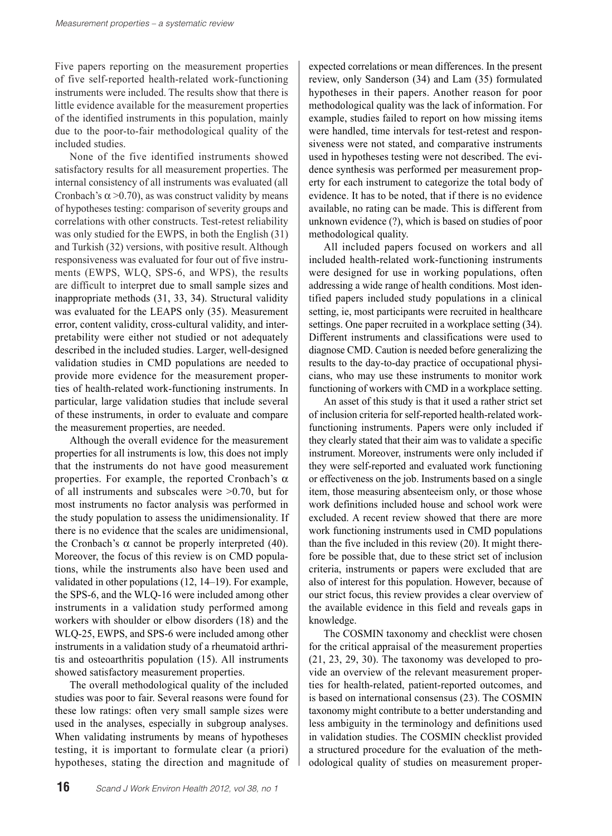Five papers reporting on the measurement properties of five self-reported health-related work-functioning instruments were included. The results show that there is little evidence available for the measurement properties of the identified instruments in this population, mainly due to the poor-to-fair methodological quality of the included studies.

None of the five identified instruments showed satisfactory results for all measurement properties. The internal consistency of all instruments was evaluated (all Cronbach's  $\alpha$  >0.70), as was construct validity by means of hypotheses testing: comparison of severity groups and correlations with other constructs. Test-retest reliability was only studied for the EWPS, in both the English (31) and Turkish (32) versions, with positive result. Although responsiveness was evaluated for four out of five instruments (EWPS, WLQ, SPS-6, and WPS), the results are difficult to interpret due to small sample sizes and inappropriate methods (31, 33, 34). Structural validity was evaluated for the LEAPS only (35). Measurement error, content validity, cross-cultural validity, and interpretability were either not studied or not adequately described in the included studies. Larger, well-designed validation studies in CMD populations are needed to provide more evidence for the measurement properties of health-related work-functioning instruments. In particular, large validation studies that include several of these instruments, in order to evaluate and compare the measurement properties, are needed.

Although the overall evidence for the measurement properties for all instruments is low, this does not imply that the instruments do not have good measurement properties. For example, the reported Cronbach's  $\alpha$ of all instruments and subscales were >0.70, but for most instruments no factor analysis was performed in the study population to assess the unidimensionality. If there is no evidence that the scales are unidimensional, the Cronbach's α cannot be properly interpreted (40). Moreover, the focus of this review is on CMD populations, while the instruments also have been used and validated in other populations (12, 14–19). For example, the SPS-6, and the WLQ-16 were included among other instruments in a validation study performed among workers with shoulder or elbow disorders (18) and the WLQ-25, EWPS, and SPS-6 were included among other instruments in a validation study of a rheumatoid arthritis and osteoarthritis population (15). All instruments showed satisfactory measurement properties.

The overall methodological quality of the included studies was poor to fair. Several reasons were found for these low ratings: often very small sample sizes were used in the analyses, especially in subgroup analyses. When validating instruments by means of hypotheses testing, it is important to formulate clear (a priori) hypotheses, stating the direction and magnitude of

expected correlations or mean differences. In the present review, only Sanderson (34) and Lam (35) formulated hypotheses in their papers. Another reason for poor methodological quality was the lack of information. For example, studies failed to report on how missing items were handled, time intervals for test-retest and responsiveness were not stated, and comparative instruments used in hypotheses testing were not described. The evidence synthesis was performed per measurement property for each instrument to categorize the total body of evidence. It has to be noted, that if there is no evidence available, no rating can be made. This is different from unknown evidence (?), which is based on studies of poor methodological quality.

All included papers focused on workers and all included health-related work-functioning instruments were designed for use in working populations, often addressing a wide range of health conditions. Most identified papers included study populations in a clinical setting, ie, most participants were recruited in healthcare settings. One paper recruited in a workplace setting (34). Different instruments and classifications were used to diagnose CMD. Caution is needed before generalizing the results to the day-to-day practice of occupational physicians, who may use these instruments to monitor work functioning of workers with CMD in a workplace setting.

An asset of this study is that it used a rather strict set of inclusion criteria for self-reported health-related workfunctioning instruments. Papers were only included if they clearly stated that their aim was to validate a specific instrument. Moreover, instruments were only included if they were self-reported and evaluated work functioning or effectiveness on the job. Instruments based on a single item, those measuring absenteeism only, or those whose work definitions included house and school work were excluded. A recent review showed that there are more work functioning instruments used in CMD populations than the five included in this review (20). It might therefore be possible that, due to these strict set of inclusion criteria, instruments or papers were excluded that are also of interest for this population. However, because of our strict focus, this review provides a clear overview of the available evidence in this field and reveals gaps in knowledge.

The COSMIN taxonomy and checklist were chosen for the critical appraisal of the measurement properties (21, 23, 29, 30). The taxonomy was developed to provide an overview of the relevant measurement properties for health-related, patient-reported outcomes, and is based on international consensus (23). The COSMIN taxonomy might contribute to a better understanding and less ambiguity in the terminology and definitions used in validation studies. The COSMIN checklist provided a structured procedure for the evaluation of the methodological quality of studies on measurement proper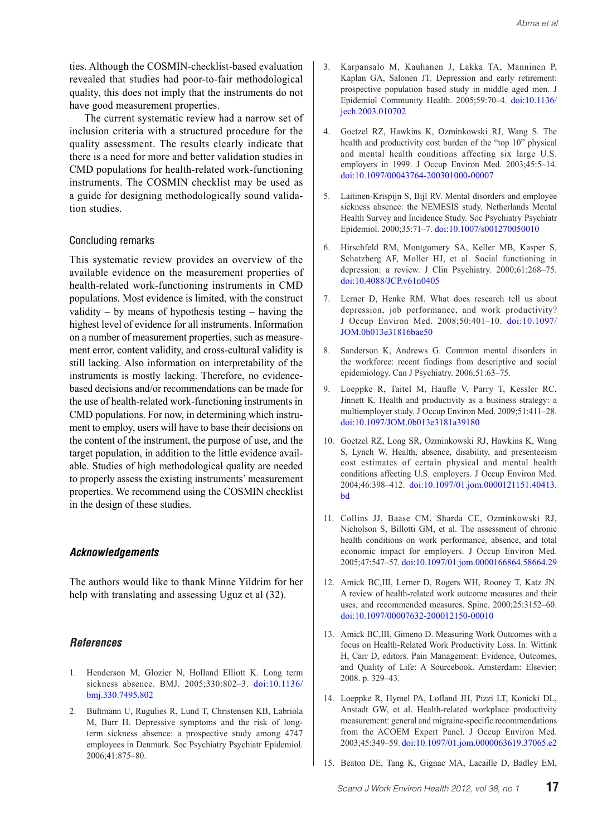ties. Although the COSMIN-checklist-based evaluation revealed that studies had poor-to-fair methodological quality, this does not imply that the instruments do not have good measurement properties.

The current systematic review had a narrow set of inclusion criteria with a structured procedure for the quality assessment. The results clearly indicate that there is a need for more and better validation studies in CMD populations for health-related work-functioning instruments. The COSMIN checklist may be used as a guide for designing methodologically sound validation studies.

#### Concluding remarks

This systematic review provides an overview of the available evidence on the measurement properties of health-related work-functioning instruments in CMD populations. Most evidence is limited, with the construct validity – by means of hypothesis testing – having the highest level of evidence for all instruments. Information on a number of measurement properties, such as measurement error, content validity, and cross-cultural validity is still lacking. Also information on interpretability of the instruments is mostly lacking. Therefore, no evidencebased decisions and/or recommendations can be made for the use of health-related work-functioning instruments in CMD populations. For now, in determining which instrument to employ, users will have to base their decisions on the content of the instrument, the purpose of use, and the target population, in addition to the little evidence available. Studies of high methodological quality are needed to properly assess the existing instruments' measurement properties. We recommend using the COSMIN checklist in the design of these studies.

#### *Acknowledgements*

The authors would like to thank Minne Yildrim for her help with translating and assessing Uguz et al (32).

#### *References*

- 1. Henderson M, Glozier N, Holland Elliott K. Long term sickness absence. BMJ. 2005;330:802–3. [doi:10.1136/](http://dx.doi.org/10.1136/bmj.330.7495.802) [bmj.330.7495.802](http://dx.doi.org/10.1136/bmj.330.7495.802)
- 2. Bultmann U, Rugulies R, Lund T, Christensen KB, Labriola M, Burr H. Depressive symptoms and the risk of longterm sickness absence: a prospective study among 4747 employees in Denmark. Soc Psychiatry Psychiatr Epidemiol. 2006;41:875–80.
- 3. Karpansalo M, Kauhanen J, Lakka TA, Manninen P, Kaplan GA, Salonen JT. Depression and early retirement: prospective population based study in middle aged men. J Epidemiol Community Health. 2005;59:70–4. [doi:10.1136/](http://dx.doi.org/10.1136/jech.2003.010702) [jech.2003.010702](http://dx.doi.org/10.1136/jech.2003.010702)
- 4. Goetzel RZ, Hawkins K, Ozminkowski RJ, Wang S. The health and productivity cost burden of the "top 10" physical and mental health conditions affecting six large U.S. employers in 1999. J Occup Environ Med. 2003;45:5–14. [doi:10.1097/00043764-200301000-00007](http://dx.doi.org/10.1097/00043764-200301000-00007)
- 5. Laitinen-Krispijn S, Bijl RV. Mental disorders and employee sickness absence: the NEMESIS study. Netherlands Mental Health Survey and Incidence Study. Soc Psychiatry Psychiatr Epidemiol. 2000;35:71–7. [doi:10.1007/s001270050010](http://dx.doi.org/10.1007/s001270050010)
- 6. Hirschfeld RM, Montgomery SA, Keller MB, Kasper S, Schatzberg AF, Moller HJ, et al. Social functioning in depression: a review. J Clin Psychiatry. 2000;61:268–75. [doi:10.4088/JCP.v61n0405](http://dx.doi.org/10.4088/JCP.v61n0405)
- 7. Lerner D, Henke RM. What does research tell us about depression, job performance, and work productivity? J Occup Environ Med. 2008;50:401–10. [doi:10.1097/](http://dx.doi.org/10.1097/JOM.0b013e31816bae50) [JOM.0b013e31816bae50](http://dx.doi.org/10.1097/JOM.0b013e31816bae50)
- 8. Sanderson K, Andrews G. Common mental disorders in the workforce: recent findings from descriptive and social epidemiology. Can J Psychiatry. 2006;51:63–75.
- 9. Loeppke R, Taitel M, Haufle V, Parry T, Kessler RC, Jinnett K. Health and productivity as a business strategy: a multiemployer study. J Occup Environ Med. 2009;51:411–28. [doi:10.1097/JOM.0b013e3181a39180](http://dx.doi.org/10.1097/JOM.0b013e3181a39180)
- 10. Goetzel RZ, Long SR, Ozminkowski RJ, Hawkins K, Wang S, Lynch W. Health, absence, disability, and presenteeism cost estimates of certain physical and mental health conditions affecting U.S. employers. J Occup Environ Med. 2004;46:398–412. [doi:10.1097/01.jom.0000121151.40413.](http://dx.doi.org/10.1097/01.jom.0000121151.40413.bd) [bd](http://dx.doi.org/10.1097/01.jom.0000121151.40413.bd)
- 11. Collins JJ, Baase CM, Sharda CE, Ozminkowski RJ, Nicholson S, Billotti GM, et al. The assessment of chronic health conditions on work performance, absence, and total economic impact for employers. J Occup Environ Med. 2005;47:547–57. [doi:10.1097/01.jom.0000166864.58664.29](http://dx.doi.org/10.1097/01.jom.0000166864.58664.29)
- 12. Amick BC,III, Lerner D, Rogers WH, Rooney T, Katz JN. A review of health-related work outcome measures and their uses, and recommended measures. Spine. 2000;25:3152–60. [doi:10.1097/00007632-200012150-00010](http://dx.doi.org/10.1097/00007632-200012150-00010)
- 13. Amick BC,III, Gimeno D. Measuring Work Outcomes with a focus on Health-Related Work Productivity Loss. In: Wittink H, Carr D, editors. Pain Management: Evidence, Outcomes, and Quality of Life: A Sourcebook. Amsterdam: Elsevier; 2008. p. 329–43.
- 14. Loeppke R, Hymel PA, Lofland JH, Pizzi LT, Konicki DL, Anstadt GW, et al. Health-related workplace productivity measurement: general and migraine-specific recommendations from the ACOEM Expert Panel. J Occup Environ Med. 2003;45:349–59. [doi:10.1097/01.jom.0000063619.37065.e2](http://dx.doi.org/10.1097/01.jom.0000063619.37065.e2)
- 15. Beaton DE, Tang K, Gignac MA, Lacaille D, Badley EM,